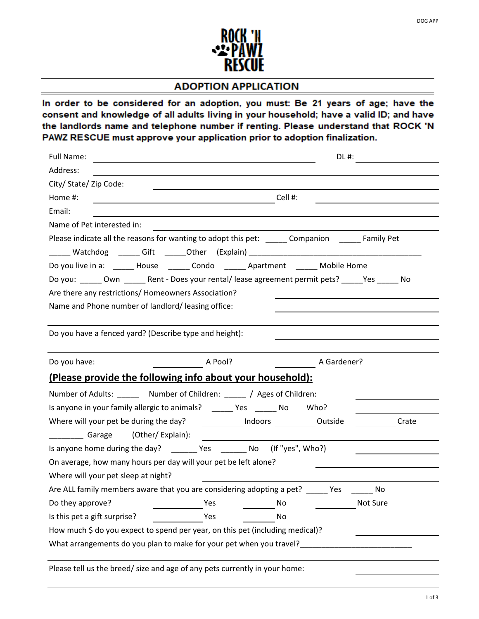

## **ADOPTION APPLICATION**

In order to be considered for an adoption, you must: Be 21 years of age; have the consent and knowledge of all adults living in your household; have a valid ID; and have the landlords name and telephone number if renting. Please understand that ROCK 'N PAWZ RESCUE must approve your application prior to adoption finalization.

| Full Name:                                                                                           |             |  |  |  |  |  |
|------------------------------------------------------------------------------------------------------|-------------|--|--|--|--|--|
| Address:                                                                                             |             |  |  |  |  |  |
| City/ State/ Zip Code:                                                                               |             |  |  |  |  |  |
| $\overline{\phantom{a}}$ Cell #:<br>Home #:                                                          |             |  |  |  |  |  |
| Email:                                                                                               |             |  |  |  |  |  |
| Name of Pet interested in:                                                                           |             |  |  |  |  |  |
| Please indicate all the reasons for wanting to adopt this pet: ________ Companion _______ Family Pet |             |  |  |  |  |  |
|                                                                                                      |             |  |  |  |  |  |
| Do you live in a: ______ House ______ Condo ______ Apartment ______ Mobile Home                      |             |  |  |  |  |  |
| Do you: ______ Own ______ Rent - Does your rental/lease agreement permit pets? _____Yes ______ No    |             |  |  |  |  |  |
| Are there any restrictions/ Homeowners Association?                                                  |             |  |  |  |  |  |
| Name and Phone number of landlord/leasing office:                                                    |             |  |  |  |  |  |
|                                                                                                      |             |  |  |  |  |  |
| Do you have a fenced yard? (Describe type and height):                                               |             |  |  |  |  |  |
|                                                                                                      |             |  |  |  |  |  |
| $\overline{\phantom{a}}$ A Pool?<br>Do you have:                                                     | A Gardener? |  |  |  |  |  |
| (Please provide the following info about your household):                                            |             |  |  |  |  |  |
| Number of Adults: _______ Number of Children: _____ / Ages of Children:                              |             |  |  |  |  |  |
| Is anyone in your family allergic to animals? ______ Yes ______ No Who?                              |             |  |  |  |  |  |
| Where will your pet be during the day? [10] Indoors [10] Dutside                                     | Crate       |  |  |  |  |  |
| Garage (Other/Explain):                                                                              |             |  |  |  |  |  |
| Is anyone home during the day? ________ Yes ________ No (If "yes", Who?)                             |             |  |  |  |  |  |
| On average, how many hours per day will your pet be left alone?                                      |             |  |  |  |  |  |
| Where will your pet sleep at night?                                                                  |             |  |  |  |  |  |
| Are ALL family members aware that you are considering adopting a pet? ______ Yes ______              | No          |  |  |  |  |  |
| Do they approve?<br>Yes<br>No                                                                        | Not Sure    |  |  |  |  |  |
| Is this pet a gift surprise?<br>Yes<br>No                                                            |             |  |  |  |  |  |
| How much \$ do you expect to spend per year, on this pet (including medical)?                        |             |  |  |  |  |  |
| What arrangements do you plan to make for your pet when you travel?                                  |             |  |  |  |  |  |
|                                                                                                      |             |  |  |  |  |  |
| Please tell us the breed/ size and age of any pets currently in your home:                           |             |  |  |  |  |  |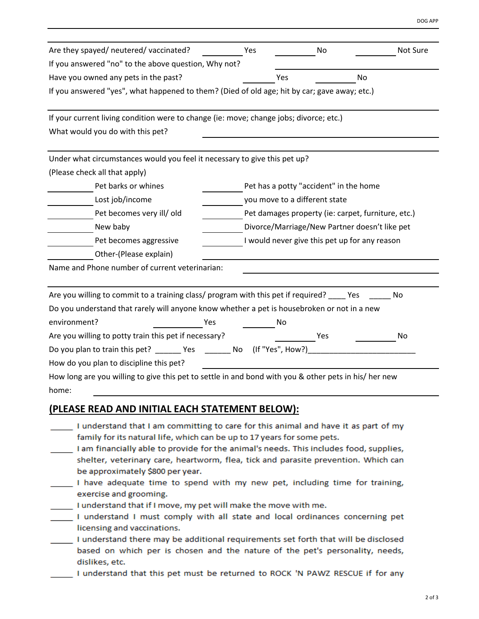| Are they spayed/ neutered/ vaccinated?                                                                |                                               |                                                    |    | Not Sure |  |
|-------------------------------------------------------------------------------------------------------|-----------------------------------------------|----------------------------------------------------|----|----------|--|
| If you answered "no" to the above question, Why not?                                                  | Yes                                           | No                                                 |    |          |  |
|                                                                                                       |                                               |                                                    |    |          |  |
| Have you owned any pets in the past?                                                                  |                                               | Yes                                                | No |          |  |
| If you answered "yes", what happened to them? (Died of old age; hit by car; gave away; etc.)          |                                               |                                                    |    |          |  |
| If your current living condition were to change (ie: move; change jobs; divorce; etc.)                |                                               |                                                    |    |          |  |
| What would you do with this pet?                                                                      |                                               |                                                    |    |          |  |
| Under what circumstances would you feel it necessary to give this pet up?                             |                                               |                                                    |    |          |  |
| (Please check all that apply)                                                                         |                                               |                                                    |    |          |  |
| Pet barks or whines                                                                                   |                                               | Pet has a potty "accident" in the home             |    |          |  |
| Lost job/income                                                                                       |                                               | you move to a different state                      |    |          |  |
| Pet becomes very ill/ old                                                                             |                                               | Pet damages property (ie: carpet, furniture, etc.) |    |          |  |
| New baby                                                                                              |                                               | Divorce/Marriage/New Partner doesn't like pet      |    |          |  |
| Pet becomes aggressive                                                                                | I would never give this pet up for any reason |                                                    |    |          |  |
| Other-(Please explain)                                                                                |                                               |                                                    |    |          |  |
| Name and Phone number of current veterinarian:                                                        |                                               |                                                    |    |          |  |
|                                                                                                       |                                               |                                                    |    |          |  |
| Are you willing to commit to a training class/ program with this pet if required? ____ Yes            |                                               |                                                    |    | No       |  |
| Do you understand that rarely will anyone know whether a pet is housebroken or not in a new           |                                               |                                                    |    |          |  |
| environment?<br>Yes                                                                                   |                                               | Νo                                                 |    |          |  |
| Are you willing to potty train this pet if necessary?                                                 |                                               | Yes                                                |    | No       |  |
|                                                                                                       |                                               | (If "Yes", How?)                                   |    |          |  |
| How do you plan to discipline this pet?                                                               |                                               |                                                    |    |          |  |
| How long are you willing to give this pet to settle in and bond with you & other pets in his/ her new |                                               |                                                    |    |          |  |
| home:                                                                                                 |                                               |                                                    |    |          |  |
| (PLEASE READ AND INITIAL EACH STATEMENT BELOW):                                                       |                                               |                                                    |    |          |  |
| I understand that I am committing to care for this animal and have it as part of my                   |                                               |                                                    |    |          |  |
| family for its natural life, which can be up to 17 years for some pets.                               |                                               |                                                    |    |          |  |
| I am financially able to provide for the animal's needs. This includes food, supplies,                |                                               |                                                    |    |          |  |
| shelter, veterinary care, heartworm, flea, tick and parasite prevention. Which can                    |                                               |                                                    |    |          |  |
| be approximately \$800 per year.                                                                      |                                               |                                                    |    |          |  |
| I have adequate time to spend with my new pet, including time for training,                           |                                               |                                                    |    |          |  |
| exercise and grooming.<br>I understand that if I move, my pet will make the move with me.             |                                               |                                                    |    |          |  |
|                                                                                                       |                                               |                                                    |    |          |  |

- I understand I must comply with all state and local ordinances concerning pet licensing and vaccinations.
- I understand there may be additional requirements set forth that will be disclosed based on which per is chosen and the nature of the pet's personality, needs, dislikes, etc.
	- I understand that this pet must be returned to ROCK 'N PAWZ RESCUE if for any